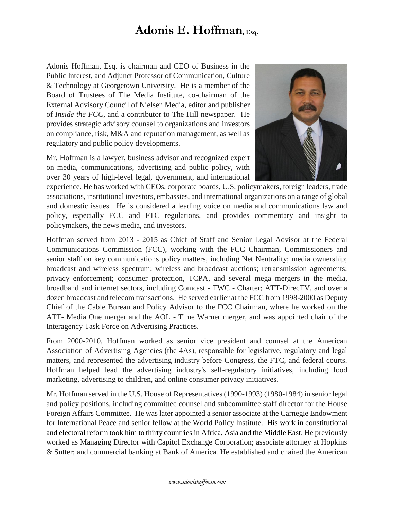## **Adonis E. Hoffman, Esq.**

Adonis Hoffman, Esq. is chairman and CEO of Business in the Public Interest, and Adjunct Professor of Communication, Culture & Technology at Georgetown University. He is a member of the Board of Trustees of The Media Institute, co-chairman of the External Advisory Council of Nielsen Media, editor and publisher of *Inside the FCC,* and a contributor to The Hill newspaper. He provides strategic advisory counsel to organizations and investors on compliance, risk, M&A and reputation management, as well as regulatory and public policy developments.

Mr. Hoffman is a lawyer, business advisor and recognized expert on media, communications, advertising and public policy, with over 30 years of high-level legal, government, and international



experience. He has worked with CEOs, corporate boards, U.S. policymakers, foreign leaders, trade associations, institutional investors, embassies, and international organizations on a range of global and domestic issues. He is considered a leading voice on media and communications law and policy, especially FCC and FTC regulations, and provides commentary and insight to policymakers, the news media, and investors.

Hoffman served from 2013 - 2015 as Chief of Staff and Senior Legal Advisor at the Federal Communications Commission (FCC), working with the FCC Chairman, Commissioners and senior staff on key communications policy matters, including Net Neutrality; media ownership; broadcast and wireless spectrum; wireless and broadcast auctions; retransmission agreements; privacy enforcement; consumer protection, TCPA, and several mega mergers in the media, broadband and internet sectors, including Comcast - TWC - Charter; ATT-DirecTV, and over a dozen broadcast and telecom transactions. He served earlier at the FCC from 1998-2000 as Deputy Chief of the Cable Bureau and Policy Advisor to the FCC Chairman, where he worked on the ATT- Media One merger and the AOL - Time Warner merger, and was appointed chair of the Interagency Task Force on Advertising Practices.

From 2000-2010, Hoffman worked as senior vice president and counsel at the American Association of Advertising Agencies (the 4As), responsible for legislative, regulatory and legal matters, and represented the advertising industry before Congress, the FTC, and federal courts. Hoffman helped lead the advertising industry's self-regulatory initiatives, including food marketing, advertising to children, and online consumer privacy initiatives.

Mr. Hoffman served in the U.S. House of Representatives (1990-1993) (1980-1984) in senior legal and policy positions, including committee counsel and subcommittee staff director for the House Foreign Affairs Committee. He was later appointed a senior associate at the Carnegie Endowment for International Peace and senior fellow at the World Policy Institute. His work in constitutional and electoral reform took him to thirty countries in Africa, Asia and the Middle East. He previously worked as Managing Director with Capitol Exchange Corporation; associate attorney at Hopkins & Sutter; and commercial banking at Bank of America. He established and chaired the American